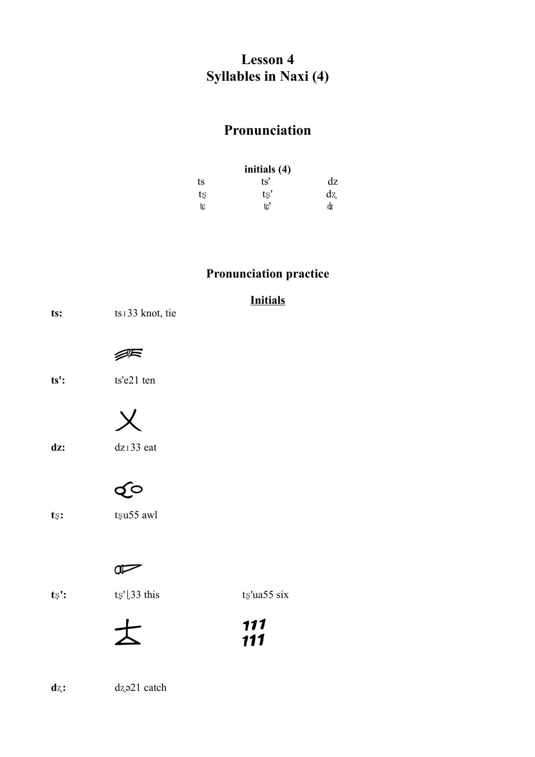### **Lesson 4 Syllables in Naxi (4)**

# Pronunciation

| initials (4) |     |     |  |  |
|--------------|-----|-----|--|--|
| ts           | ts' | dz  |  |  |
| tş           | ts' | dz. |  |  |
| tc           | tc' | dz  |  |  |

## **Pronunciation practice**

| ts:                | ts <sub>133</sub> knot, tie | <b>Initials</b> |
|--------------------|-----------------------------|-----------------|
|                    |                             |                 |
| $ts$ :             | ts'e21 ten                  |                 |
| dz:                | dz <sub>133</sub> eat       |                 |
|                    |                             |                 |
| $t_{\mathbb{S}}$ : | tsu55 awl                   |                 |
|                    |                             |                 |
| $ts$ :             | ts'l33 this                 | $ts$ 'ua55 six  |

| ᅩ        | 111 |
|----------|-----|
| $\Delta$ | 111 |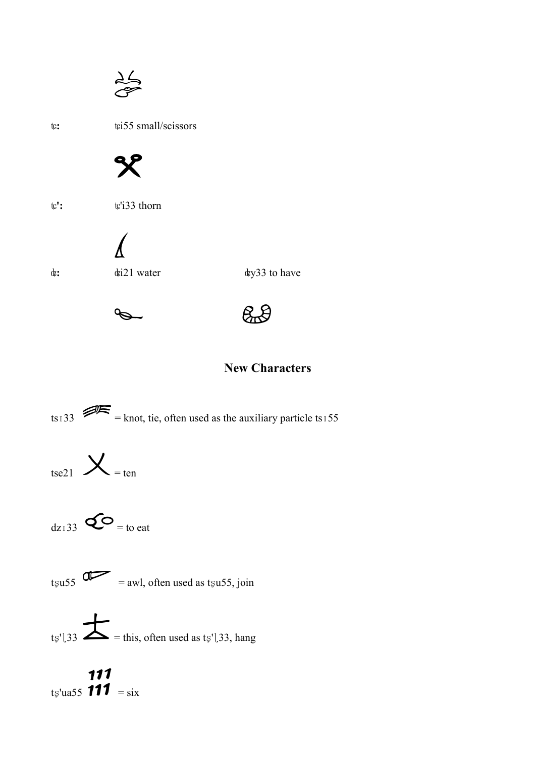$\frac{\lambda}{\sigma}$ 

 $\mathsf{tc}\text{:}$ 

tci55 small/scissors



 $\mathbf{t} \mathbf{c'}$  :

tc'i33 thorn



dz:

dzi21 water

dzy33 to have





### **New Characters**

ts<sub>133</sub>  $\mathscr{D}$  = knot, tie, often used as the auxiliary particle ts<sub>155</sub>



 $d_{Z1}$ 33  $Q$  = to eat



ts'[33  $\sum$  = this, often used as ts'[33, hang

111<br>ts'ua55 111 = six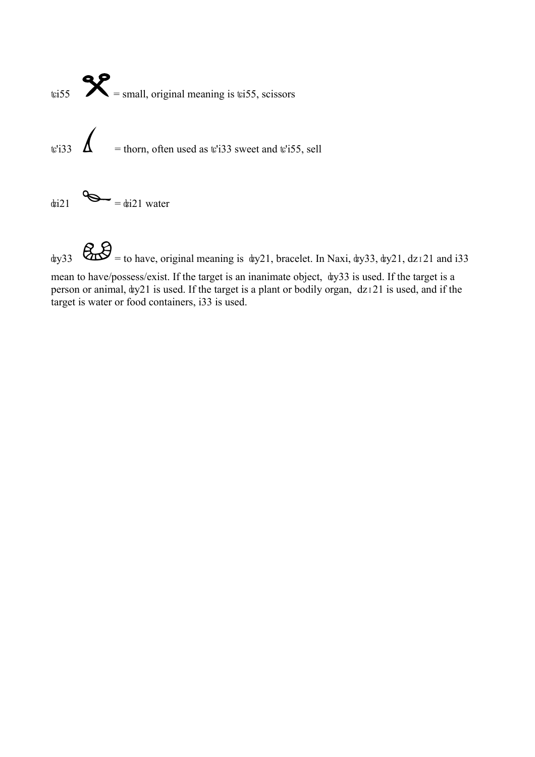

 $\&$ <sub>gy</sub>33  $\&$  = to have, original meaning is  $\frac{dy}{21}$ , bracelet. In Naxi,  $\frac{dy}{33}$ ,  $\frac{dy}{21}$ , dz<sub>1</sub>21 and i33

mean to have/possess/exist. If the target is an inanimate object, ʥy33 is used. If the target is a person or animal,  $\frac{dy}{21}$  is used. If the target is a plant or bodily organ,  $\frac{dz}{121}$  is used, and if the target is water or food containers, i33 is used.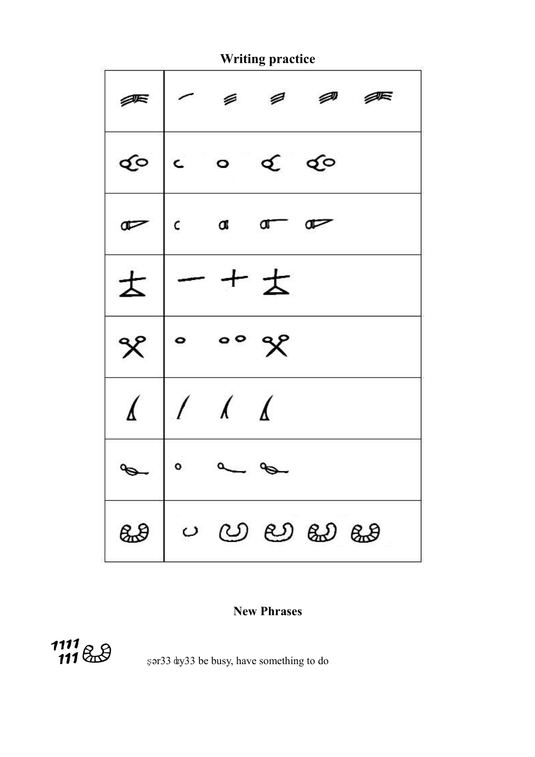

#### **New Phrases**



şər33 ¢y33 be busy, have something to do